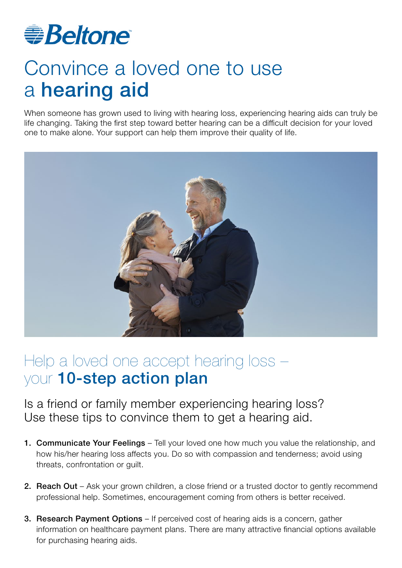

## Convince a loved one to use a hearing aid

When someone has grown used to living with hearing loss, experiencing hearing aids can truly be life changing. Taking the first step toward better hearing can be a difficult decision for your loved one to make alone. Your support can help them improve their quality of life.



## Help a loved one accept hearing loss – your 10-step action plan

Is a friend or family member experiencing hearing loss? Use these tips to convince them to get a hearing aid.

- 1. Communicate Your Feelings Tell your loved one how much you value the relationship, and how his/her hearing loss affects you. Do so with compassion and tenderness; avoid using threats, confrontation or guilt.
- 2. Reach Out Ask your grown children, a close friend or a trusted doctor to gently recommend professional help. Sometimes, encouragement coming from others is better received.
- 3. Research Payment Options If perceived cost of hearing aids is a concern, gather information on healthcare payment plans. There are many attractive financial options available for purchasing hearing aids.